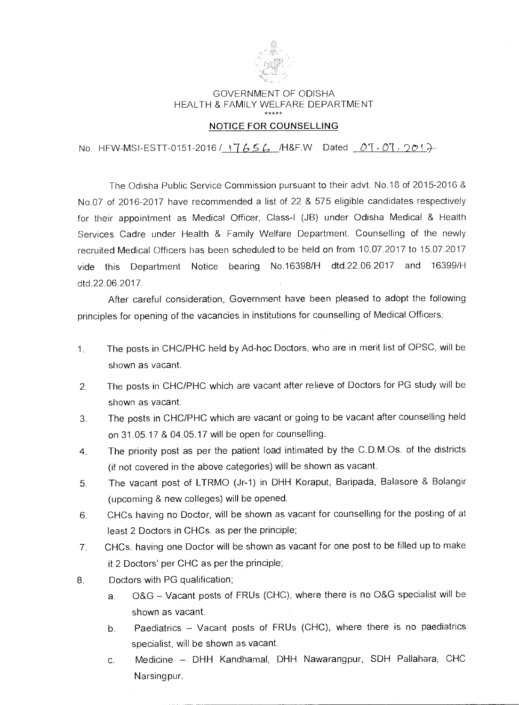

## GOVERNMENT OF ODISHA HEALTH & FAMILY WELFARE DEPARTMENT

## NOTICE FOR COUNSELLING

No. HFW-MSI-ESTT-0151-2016 / 17656 / H&F.W Dated  $0.7.07.2017$ 

The Odisha Public Service Commission pursuant to their advt. No.18 of 2015-2016 & No.07 of 2016-2017 have recommended a list of 22 & 575 eligible candidates respectively for their appointment as Medical Officer, Class-I (JB) under Odisha Medical & Health Services Cadre under Health & Family Welfare Department. Counselling of the newly recruited Medical Officers has been scheduled to be held on from 10.07.2017 to 15.07.2017 vide this Department Notice bearing No.16398/H dtd.22.06.2017 and 16399/H dtd.22.06.2017.

After careful consideration, Government have been pleased to adopt the following principles for opening of the vacancies in institutions for counselling of Medical Officers;

- 1. The posts in CHC/PHC held by Ad-hoc Doctors, who are in merit list of OPSC, will be shown as vacant.
- 2. The posts in CHC/PHC which are vacant after relieve of Doctors for PG study will be shown as vacant.
- 3. The posts in CHC/PHC which are vacant or going to be vacant after counselling held on 31.05.17 & 04.05.17 will be open for counselling.
- 4. The priority post as per the patient load intimated by the C.D.M.Os. of the districts (if not covered in the above categories) will be shown as vacant.
- 5. The vacant post of LTRMO (Jr-1) in DHH Koraput, Baripada, Balasore & Bolangir (upcoming & new colleges) will be opened.
- 6. CHCs having no Doctor, will be shown as vacant for counselling for the posting of at least 2 Doctors in CHCs. as per the principle;
- 7 CHCs. having one Doctor will be shown as vacant for one post to be filled up to make it 2 Doctors' per CHC as per the principle;
- 8. Doctors with PG qualification;
	- a. O&G Vacant posts of FRUs (CHC), where there is no O&G specialist will be shown as vacant.
	- b. Paediatrics Vacant posts of FRUs (CHC), where there is no paediatrics specialist, will be shown as vacant.
	- c. Medicine DHH Kandhamal, DHH Nawarangpur, SDH Pallahara, CHC Narsing pur.